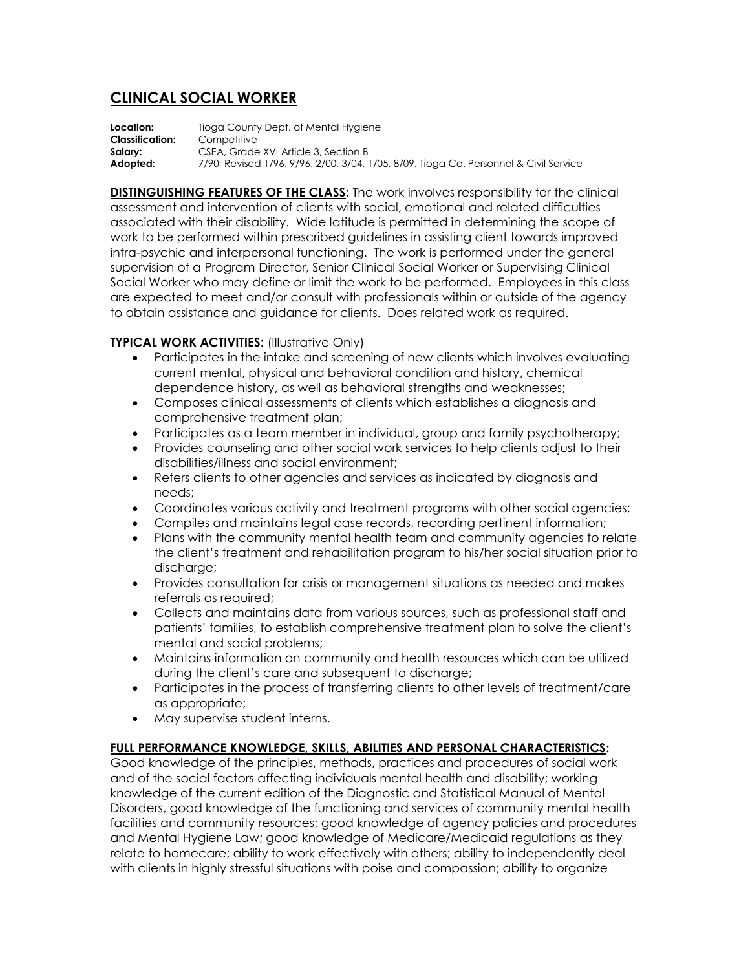## **CLINICAL SOCIAL WORKER**

**Location:** Tioga County Dept. of Mental Hygiene **Classification:** Competitive **Salary:** CSEA, Grade XVI Article 3, Section B **Adopted:** 7/90; Revised 1/96, 9/96, 2/00, 3/04, 1/05, 8/09, Tioga Co. Personnel & Civil Service

**DISTINGUISHING FEATURES OF THE CLASS:** The work involves responsibility for the clinical assessment and intervention of clients with social, emotional and related difficulties associated with their disability. Wide latitude is permitted in determining the scope of work to be performed within prescribed guidelines in assisting client towards improved intra-psychic and interpersonal functioning. The work is performed under the general supervision of a Program Director, Senior Clinical Social Worker or Supervising Clinical Social Worker who may define or limit the work to be performed. Employees in this class are expected to meet and/or consult with professionals within or outside of the agency to obtain assistance and guidance for clients. Does related work as required.

## **TYPICAL WORK ACTIVITIES:** (Illustrative Only)

- Participates in the intake and screening of new clients which involves evaluating current mental, physical and behavioral condition and history, chemical dependence history, as well as behavioral strengths and weaknesses;
- Composes clinical assessments of clients which establishes a diagnosis and comprehensive treatment plan;
- Participates as a team member in individual, group and family psychotherapy;
- Provides counseling and other social work services to help clients adjust to their disabilities/illness and social environment;
- Refers clients to other agencies and services as indicated by diagnosis and needs;
- Coordinates various activity and treatment programs with other social agencies;
- Compiles and maintains legal case records, recording pertinent information;
- Plans with the community mental health team and community agencies to relate the client's treatment and rehabilitation program to his/her social situation prior to discharge;
- Provides consultation for crisis or management situations as needed and makes referrals as required;
- Collects and maintains data from various sources, such as professional staff and patients' families, to establish comprehensive treatment plan to solve the client's mental and social problems;
- Maintains information on community and health resources which can be utilized during the client's care and subsequent to discharge;
- Participates in the process of transferring clients to other levels of treatment/care as appropriate;
- May supervise student interns.

## **FULL PERFORMANCE KNOWLEDGE, SKILLS, ABILITIES AND PERSONAL CHARACTERISTICS:**

Good knowledge of the principles, methods, practices and procedures of social work and of the social factors affecting individuals mental health and disability; working knowledge of the current edition of the Diagnostic and Statistical Manual of Mental Disorders, good knowledge of the functioning and services of community mental health facilities and community resources; good knowledge of agency policies and procedures and Mental Hygiene Law; good knowledge of Medicare/Medicaid regulations as they relate to homecare; ability to work effectively with others; ability to independently deal with clients in highly stressful situations with poise and compassion; ability to organize